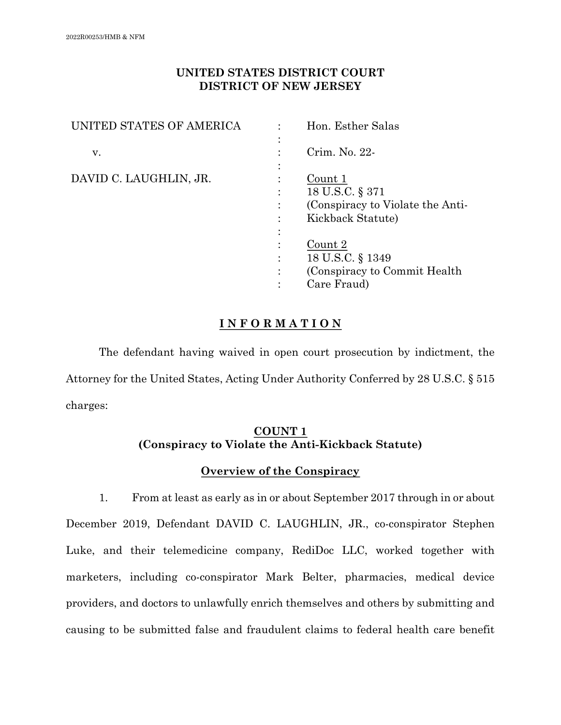# **UNITED STATES DISTRICT COURT DISTRICT OF NEW JERSEY**

| UNITED STATES OF AMERICA |   | Hon. Esther Salas                |
|--------------------------|---|----------------------------------|
|                          |   |                                  |
| V.                       |   | Crim. No. 22-                    |
|                          |   |                                  |
| DAVID C. LAUGHLIN, JR.   |   | Count 1                          |
|                          |   | 18 U.S.C. § 371                  |
|                          |   | (Conspiracy to Violate the Anti- |
|                          |   | Kickback Statute)                |
|                          |   |                                  |
|                          |   | Count 2                          |
|                          |   | 18 U.S.C. § 1349                 |
|                          | ٠ | (Conspiracy to Commit Health)    |
|                          |   | Care Fraud)                      |

# **I N F O R M A T I O N**

The defendant having waived in open court prosecution by indictment, the Attorney for the United States, Acting Under Authority Conferred by 28 U.S.C. § 515 charges:

# **COUNT 1 (Conspiracy to Violate the Anti-Kickback Statute)**

# **Overview of the Conspiracy**

1. From at least as early as in or about September 2017 through in or about December 2019, Defendant DAVID C. LAUGHLIN, JR., co-conspirator Stephen Luke, and their telemedicine company, RediDoc LLC, worked together with marketers, including co-conspirator Mark Belter, pharmacies, medical device providers, and doctors to unlawfully enrich themselves and others by submitting and causing to be submitted false and fraudulent claims to federal health care benefit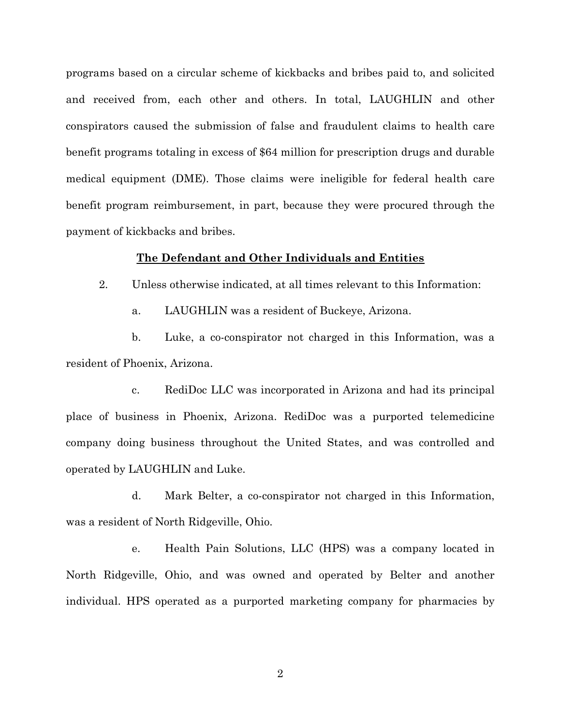programs based on a circular scheme of kickbacks and bribes paid to, and solicited and received from, each other and others. In total, LAUGHLIN and other conspirators caused the submission of false and fraudulent claims to health care benefit programs totaling in excess of \$64 million for prescription drugs and durable medical equipment (DME). Those claims were ineligible for federal health care benefit program reimbursement, in part, because they were procured through the payment of kickbacks and bribes.

#### **The Defendant and Other Individuals and Entities**

2. Unless otherwise indicated, at all times relevant to this Information:

a. LAUGHLIN was a resident of Buckeye, Arizona.

b. Luke, a co-conspirator not charged in this Information, was a resident of Phoenix, Arizona.

c. RediDoc LLC was incorporated in Arizona and had its principal place of business in Phoenix, Arizona. RediDoc was a purported telemedicine company doing business throughout the United States, and was controlled and operated by LAUGHLIN and Luke.

d. Mark Belter, a co-conspirator not charged in this Information, was a resident of North Ridgeville, Ohio.

e. Health Pain Solutions, LLC (HPS) was a company located in North Ridgeville, Ohio, and was owned and operated by Belter and another individual. HPS operated as a purported marketing company for pharmacies by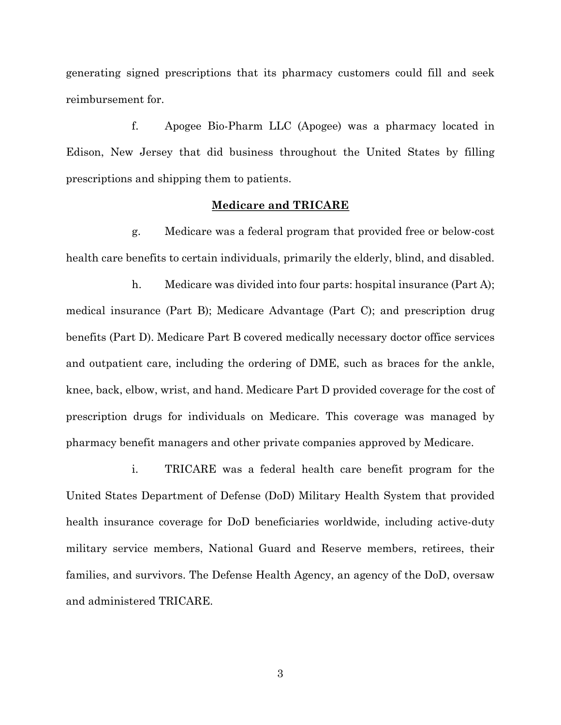generating signed prescriptions that its pharmacy customers could fill and seek reimbursement for.

f. Apogee Bio-Pharm LLC (Apogee) was a pharmacy located in Edison, New Jersey that did business throughout the United States by filling prescriptions and shipping them to patients.

#### **Medicare and TRICARE**

g. Medicare was a federal program that provided free or below-cost health care benefits to certain individuals, primarily the elderly, blind, and disabled.

h. Medicare was divided into four parts: hospital insurance (Part A); medical insurance (Part B); Medicare Advantage (Part C); and prescription drug benefits (Part D). Medicare Part B covered medically necessary doctor office services and outpatient care, including the ordering of DME, such as braces for the ankle, knee, back, elbow, wrist, and hand. Medicare Part D provided coverage for the cost of prescription drugs for individuals on Medicare. This coverage was managed by pharmacy benefit managers and other private companies approved by Medicare.

i. TRICARE was a federal health care benefit program for the United States Department of Defense (DoD) Military Health System that provided health insurance coverage for DoD beneficiaries worldwide, including active-duty military service members, National Guard and Reserve members, retirees, their families, and survivors. The Defense Health Agency, an agency of the DoD, oversaw and administered TRICARE.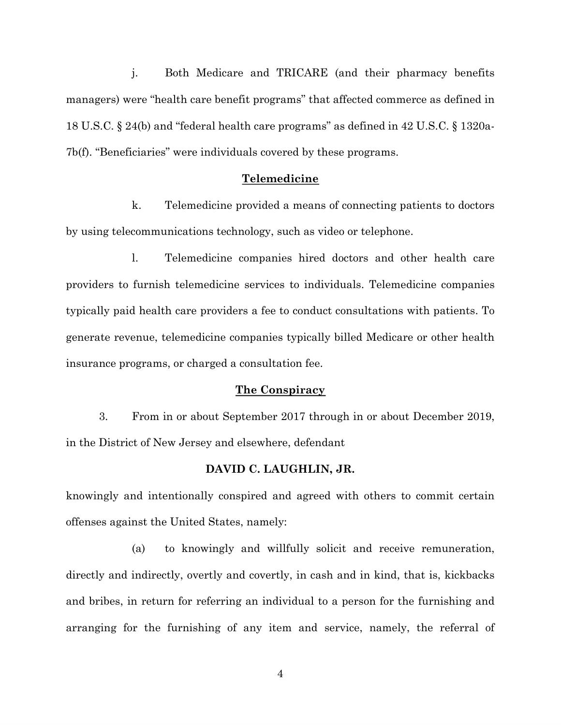j. Both Medicare and TRICARE (and their pharmacy benefits managers) were "health care benefit programs" that affected commerce as defined in 18 U.S.C. § 24(b) and "federal health care programs" as defined in 42 U.S.C. § 1320a-7b(f). "Beneficiaries" were individuals covered by these programs.

#### **Telemedicine**

k. Telemedicine provided a means of connecting patients to doctors by using telecommunications technology, such as video or telephone.

l. Telemedicine companies hired doctors and other health care providers to furnish telemedicine services to individuals. Telemedicine companies typically paid health care providers a fee to conduct consultations with patients. To generate revenue, telemedicine companies typically billed Medicare or other health insurance programs, or charged a consultation fee.

### **The Conspiracy**

3. From in or about September 2017 through in or about December 2019, in the District of New Jersey and elsewhere, defendant

### **DAVID C. LAUGHLIN, JR.**

knowingly and intentionally conspired and agreed with others to commit certain offenses against the United States, namely:

(a) to knowingly and willfully solicit and receive remuneration, directly and indirectly, overtly and covertly, in cash and in kind, that is, kickbacks and bribes, in return for referring an individual to a person for the furnishing and arranging for the furnishing of any item and service, namely, the referral of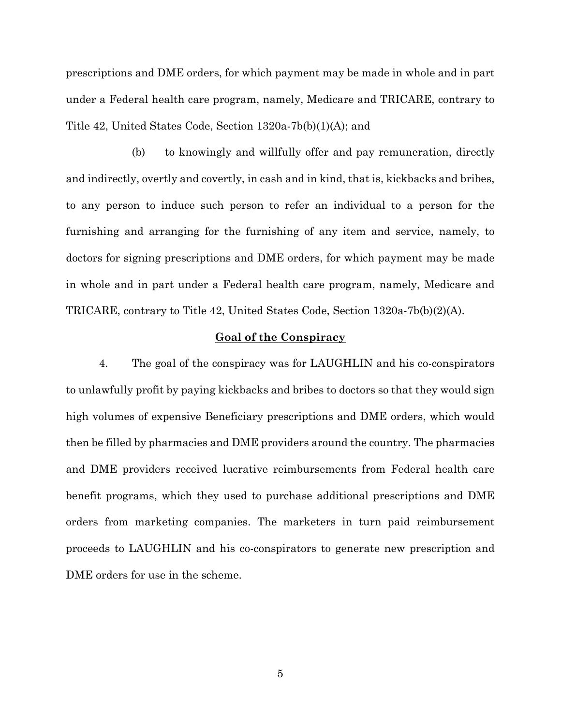prescriptions and DME orders, for which payment may be made in whole and in part under a Federal health care program, namely, Medicare and TRICARE, contrary to Title 42, United States Code, Section 1320a-7b(b)(1)(A); and

(b) to knowingly and willfully offer and pay remuneration, directly and indirectly, overtly and covertly, in cash and in kind, that is, kickbacks and bribes, to any person to induce such person to refer an individual to a person for the furnishing and arranging for the furnishing of any item and service, namely, to doctors for signing prescriptions and DME orders, for which payment may be made in whole and in part under a Federal health care program, namely, Medicare and TRICARE, contrary to Title 42, United States Code, Section 1320a-7b(b)(2)(A).

## **Goal of the Conspiracy**

4. The goal of the conspiracy was for LAUGHLIN and his co-conspirators to unlawfully profit by paying kickbacks and bribes to doctors so that they would sign high volumes of expensive Beneficiary prescriptions and DME orders, which would then be filled by pharmacies and DME providers around the country. The pharmacies and DME providers received lucrative reimbursements from Federal health care benefit programs, which they used to purchase additional prescriptions and DME orders from marketing companies. The marketers in turn paid reimbursement proceeds to LAUGHLIN and his co-conspirators to generate new prescription and DME orders for use in the scheme.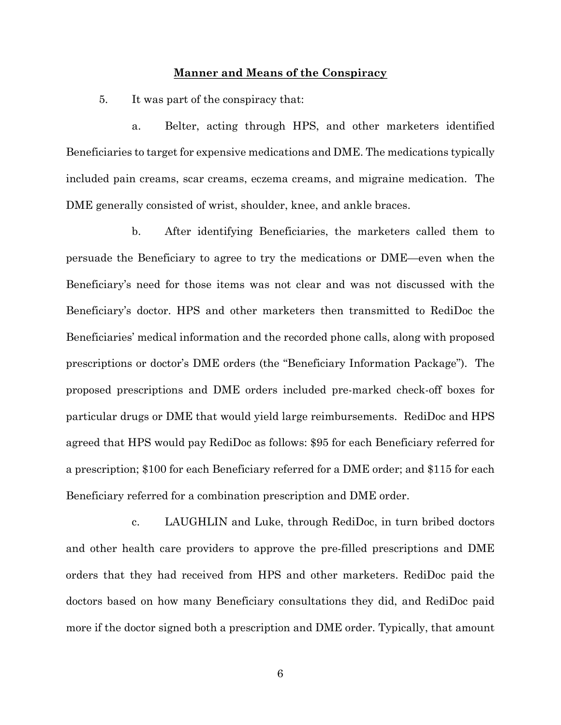### **Manner and Means of the Conspiracy**

5. It was part of the conspiracy that:

a. Belter, acting through HPS, and other marketers identified Beneficiaries to target for expensive medications and DME. The medications typically included pain creams, scar creams, eczema creams, and migraine medication. The DME generally consisted of wrist, shoulder, knee, and ankle braces.

b. After identifying Beneficiaries, the marketers called them to persuade the Beneficiary to agree to try the medications or DME—even when the Beneficiary's need for those items was not clear and was not discussed with the Beneficiary's doctor. HPS and other marketers then transmitted to RediDoc the Beneficiaries' medical information and the recorded phone calls, along with proposed prescriptions or doctor's DME orders (the "Beneficiary Information Package"). The proposed prescriptions and DME orders included pre-marked check-off boxes for particular drugs or DME that would yield large reimbursements. RediDoc and HPS agreed that HPS would pay RediDoc as follows: \$95 for each Beneficiary referred for a prescription; \$100 for each Beneficiary referred for a DME order; and \$115 for each Beneficiary referred for a combination prescription and DME order.

c. LAUGHLIN and Luke, through RediDoc, in turn bribed doctors and other health care providers to approve the pre-filled prescriptions and DME orders that they had received from HPS and other marketers. RediDoc paid the doctors based on how many Beneficiary consultations they did, and RediDoc paid more if the doctor signed both a prescription and DME order. Typically, that amount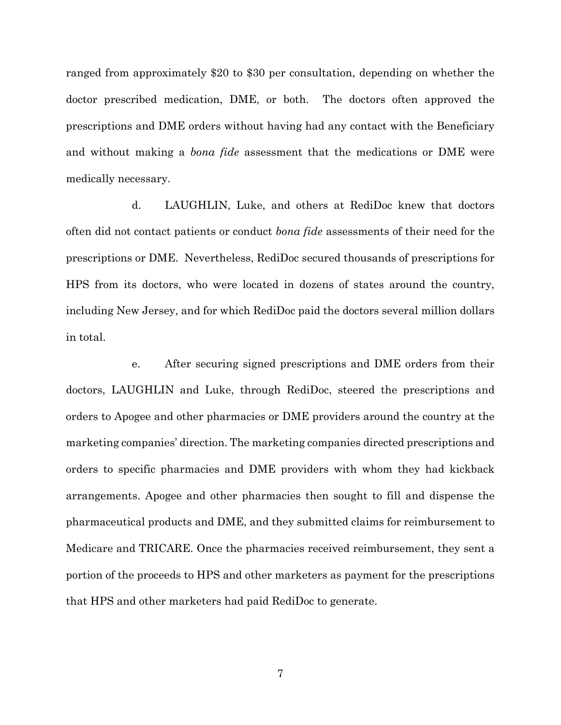ranged from approximately \$20 to \$30 per consultation, depending on whether the doctor prescribed medication, DME, or both. The doctors often approved the prescriptions and DME orders without having had any contact with the Beneficiary and without making a *bona fide* assessment that the medications or DME were medically necessary.

d. LAUGHLIN, Luke, and others at RediDoc knew that doctors often did not contact patients or conduct *bona fide* assessments of their need for the prescriptions or DME. Nevertheless, RediDoc secured thousands of prescriptions for HPS from its doctors, who were located in dozens of states around the country, including New Jersey, and for which RediDoc paid the doctors several million dollars in total.

e. After securing signed prescriptions and DME orders from their doctors, LAUGHLIN and Luke, through RediDoc, steered the prescriptions and orders to Apogee and other pharmacies or DME providers around the country at the marketing companies' direction. The marketing companies directed prescriptions and orders to specific pharmacies and DME providers with whom they had kickback arrangements. Apogee and other pharmacies then sought to fill and dispense the pharmaceutical products and DME, and they submitted claims for reimbursement to Medicare and TRICARE. Once the pharmacies received reimbursement, they sent a portion of the proceeds to HPS and other marketers as payment for the prescriptions that HPS and other marketers had paid RediDoc to generate.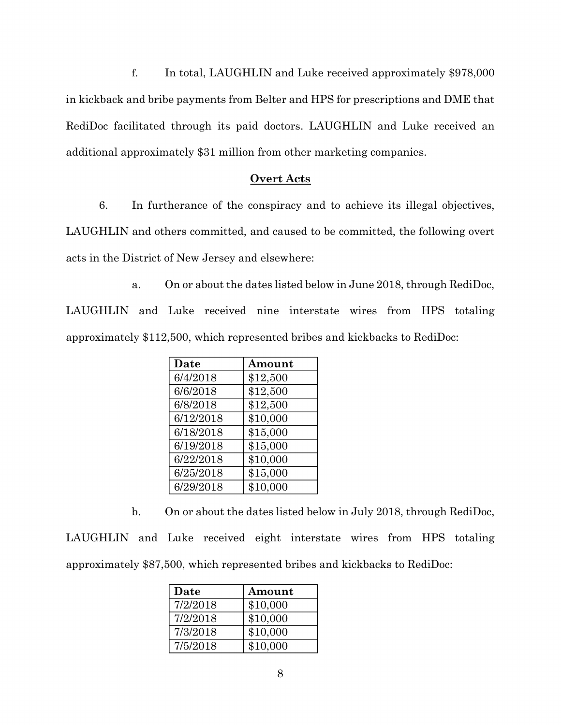f. In total, LAUGHLIN and Luke received approximately \$978,000 in kickback and bribe payments from Belter and HPS for prescriptions and DME that RediDoc facilitated through its paid doctors. LAUGHLIN and Luke received an additional approximately \$31 million from other marketing companies.

## **Overt Acts**

6. In furtherance of the conspiracy and to achieve its illegal objectives, LAUGHLIN and others committed, and caused to be committed, the following overt acts in the District of New Jersey and elsewhere:

a. On or about the dates listed below in June 2018, through RediDoc, LAUGHLIN and Luke received nine interstate wires from HPS totaling approximately \$112,500, which represented bribes and kickbacks to RediDoc:

| Date      | Amount   |
|-----------|----------|
| 6/4/2018  | \$12,500 |
| 6/6/2018  | \$12,500 |
| 6/8/2018  | \$12,500 |
| 6/12/2018 | \$10,000 |
| 6/18/2018 | \$15,000 |
| 6/19/2018 | \$15,000 |
| 6/22/2018 | \$10,000 |
| 6/25/2018 | \$15,000 |
| 6/29/2018 | \$10,000 |

b. On or about the dates listed below in July 2018, through RediDoc, LAUGHLIN and Luke received eight interstate wires from HPS totaling approximately \$87,500, which represented bribes and kickbacks to RediDoc:

| Date     | Amount   |
|----------|----------|
| 7/2/2018 | \$10,000 |
| 7/2/2018 | \$10,000 |
| 7/3/2018 | \$10,000 |
| 7/5/2018 | \$10,000 |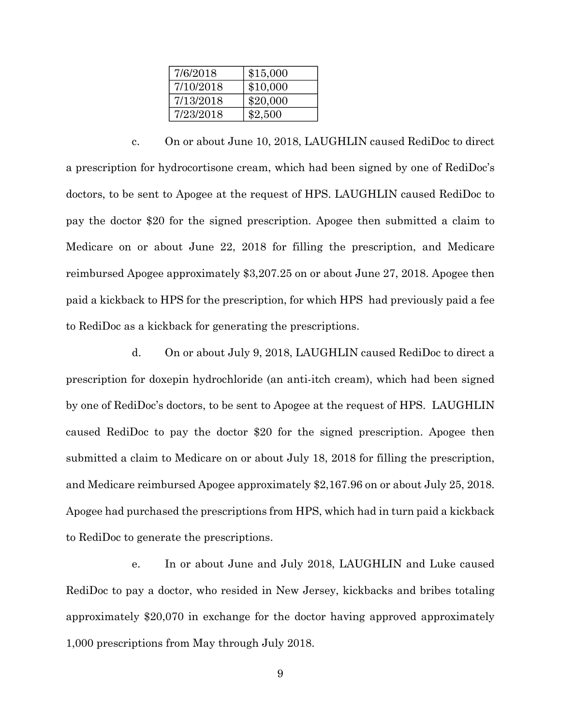| 7/6/2018  | \$15,000 |
|-----------|----------|
| 7/10/2018 | \$10,000 |
| 7/13/2018 | \$20,000 |
| 7/23/2018 | \$2,500  |

c. On or about June 10, 2018, LAUGHLIN caused RediDoc to direct a prescription for hydrocortisone cream, which had been signed by one of RediDoc's doctors, to be sent to Apogee at the request of HPS. LAUGHLIN caused RediDoc to pay the doctor \$20 for the signed prescription. Apogee then submitted a claim to Medicare on or about June 22, 2018 for filling the prescription, and Medicare reimbursed Apogee approximately \$3,207.25 on or about June 27, 2018. Apogee then paid a kickback to HPS for the prescription, for which HPS had previously paid a fee to RediDoc as a kickback for generating the prescriptions.

d. On or about July 9, 2018, LAUGHLIN caused RediDoc to direct a prescription for doxepin hydrochloride (an anti-itch cream), which had been signed by one of RediDoc's doctors, to be sent to Apogee at the request of HPS. LAUGHLIN caused RediDoc to pay the doctor \$20 for the signed prescription. Apogee then submitted a claim to Medicare on or about July 18, 2018 for filling the prescription, and Medicare reimbursed Apogee approximately \$2,167.96 on or about July 25, 2018. Apogee had purchased the prescriptions from HPS, which had in turn paid a kickback to RediDoc to generate the prescriptions.

e. In or about June and July 2018, LAUGHLIN and Luke caused RediDoc to pay a doctor, who resided in New Jersey, kickbacks and bribes totaling approximately \$20,070 in exchange for the doctor having approved approximately 1,000 prescriptions from May through July 2018.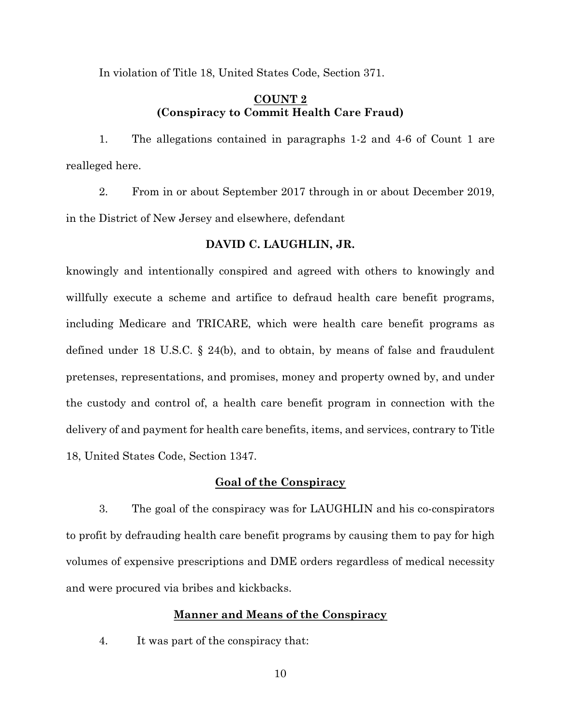In violation of Title 18, United States Code, Section 371.

## **COUNT 2 (Conspiracy to Commit Health Care Fraud)**

1. The allegations contained in paragraphs 1-2 and 4-6 of Count 1 are realleged here.

2. From in or about September 2017 through in or about December 2019, in the District of New Jersey and elsewhere, defendant

## **DAVID C. LAUGHLIN, JR.**

knowingly and intentionally conspired and agreed with others to knowingly and willfully execute a scheme and artifice to defraud health care benefit programs, including Medicare and TRICARE, which were health care benefit programs as defined under 18 U.S.C. § 24(b), and to obtain, by means of false and fraudulent pretenses, representations, and promises, money and property owned by, and under the custody and control of, a health care benefit program in connection with the delivery of and payment for health care benefits, items, and services, contrary to Title 18, United States Code, Section 1347.

## **Goal of the Conspiracy**

3. The goal of the conspiracy was for LAUGHLIN and his co-conspirators to profit by defrauding health care benefit programs by causing them to pay for high volumes of expensive prescriptions and DME orders regardless of medical necessity and were procured via bribes and kickbacks.

## **Manner and Means of the Conspiracy**

4. It was part of the conspiracy that: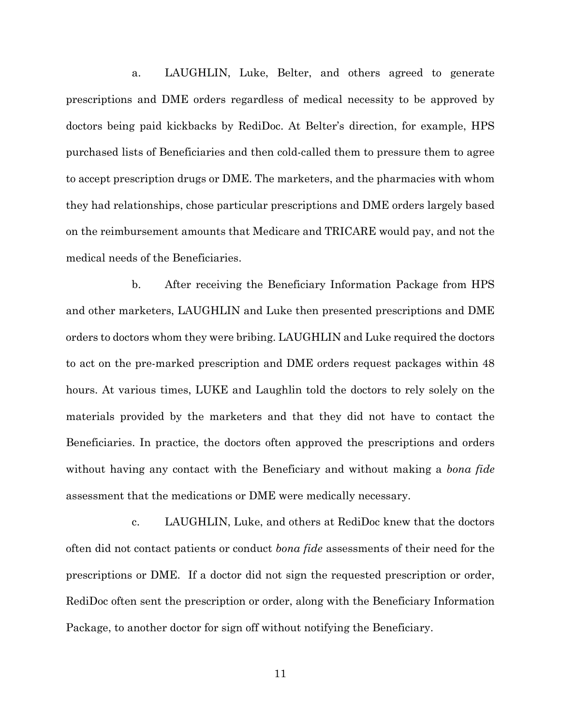a. LAUGHLIN, Luke, Belter, and others agreed to generate prescriptions and DME orders regardless of medical necessity to be approved by doctors being paid kickbacks by RediDoc. At Belter's direction, for example, HPS purchased lists of Beneficiaries and then cold-called them to pressure them to agree to accept prescription drugs or DME. The marketers, and the pharmacies with whom they had relationships, chose particular prescriptions and DME orders largely based on the reimbursement amounts that Medicare and TRICARE would pay, and not the medical needs of the Beneficiaries.

b. After receiving the Beneficiary Information Package from HPS and other marketers, LAUGHLIN and Luke then presented prescriptions and DME orders to doctors whom they were bribing. LAUGHLIN and Luke required the doctors to act on the pre-marked prescription and DME orders request packages within 48 hours. At various times, LUKE and Laughlin told the doctors to rely solely on the materials provided by the marketers and that they did not have to contact the Beneficiaries. In practice, the doctors often approved the prescriptions and orders without having any contact with the Beneficiary and without making a *bona fide* assessment that the medications or DME were medically necessary.

c. LAUGHLIN, Luke, and others at RediDoc knew that the doctors often did not contact patients or conduct *bona fide* assessments of their need for the prescriptions or DME. If a doctor did not sign the requested prescription or order, RediDoc often sent the prescription or order, along with the Beneficiary Information Package, to another doctor for sign off without notifying the Beneficiary.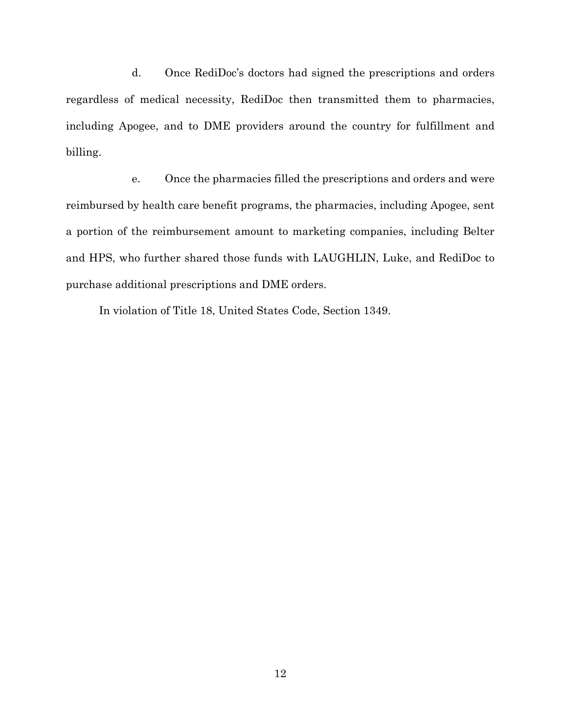d. Once RediDoc's doctors had signed the prescriptions and orders regardless of medical necessity, RediDoc then transmitted them to pharmacies, including Apogee, and to DME providers around the country for fulfillment and billing.

e. Once the pharmacies filled the prescriptions and orders and were reimbursed by health care benefit programs, the pharmacies, including Apogee, sent a portion of the reimbursement amount to marketing companies, including Belter and HPS, who further shared those funds with LAUGHLIN, Luke, and RediDoc to purchase additional prescriptions and DME orders.

In violation of Title 18, United States Code, Section 1349.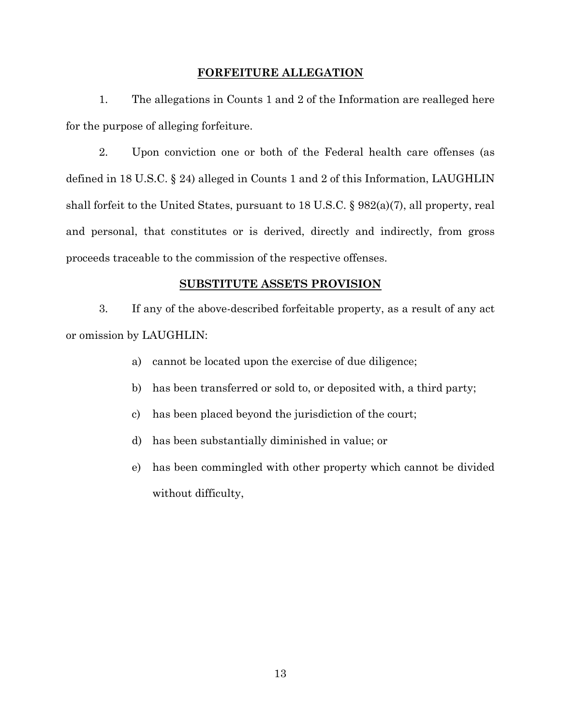## **FORFEITURE ALLEGATION**

1. The allegations in Counts 1 and 2 of the Information are realleged here for the purpose of alleging forfeiture.

2. Upon conviction one or both of the Federal health care offenses (as defined in 18 U.S.C. § 24) alleged in Counts 1 and 2 of this Information, LAUGHLIN shall forfeit to the United States, pursuant to 18 U.S.C. § 982(a)(7), all property, real and personal, that constitutes or is derived, directly and indirectly, from gross proceeds traceable to the commission of the respective offenses.

### **SUBSTITUTE ASSETS PROVISION**

3. If any of the above-described forfeitable property, as a result of any act or omission by LAUGHLIN:

- a) cannot be located upon the exercise of due diligence;
- b) has been transferred or sold to, or deposited with, a third party;
- c) has been placed beyond the jurisdiction of the court;
- d) has been substantially diminished in value; or
- e) has been commingled with other property which cannot be divided without difficulty,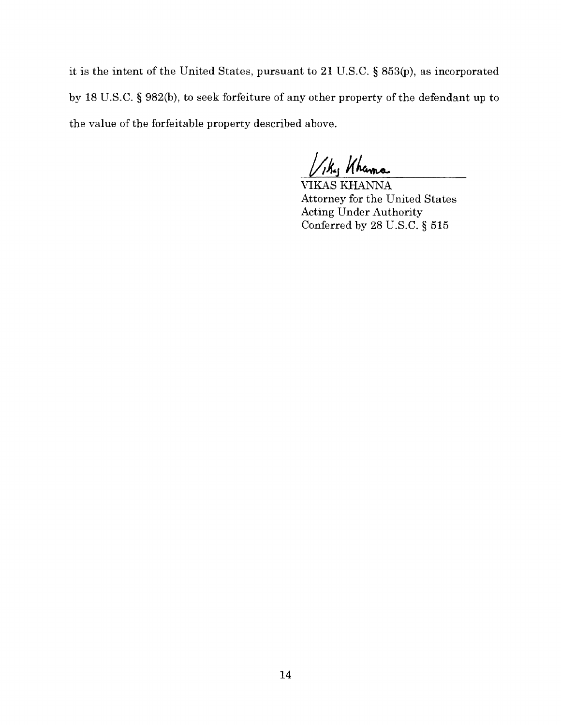it is the intent of the United States, pursuant to 21 U.S.C. § 853(p), as incorporated by 18 U.S.C. § 982(b), to seek forfeiture of any other property of the defendant up to the value of the forfeitable property described above.

Viky Khama

VIKAS KHANNA Attorney for the United States Acting Under Authority Conferred by 28 U.S.C. § 515